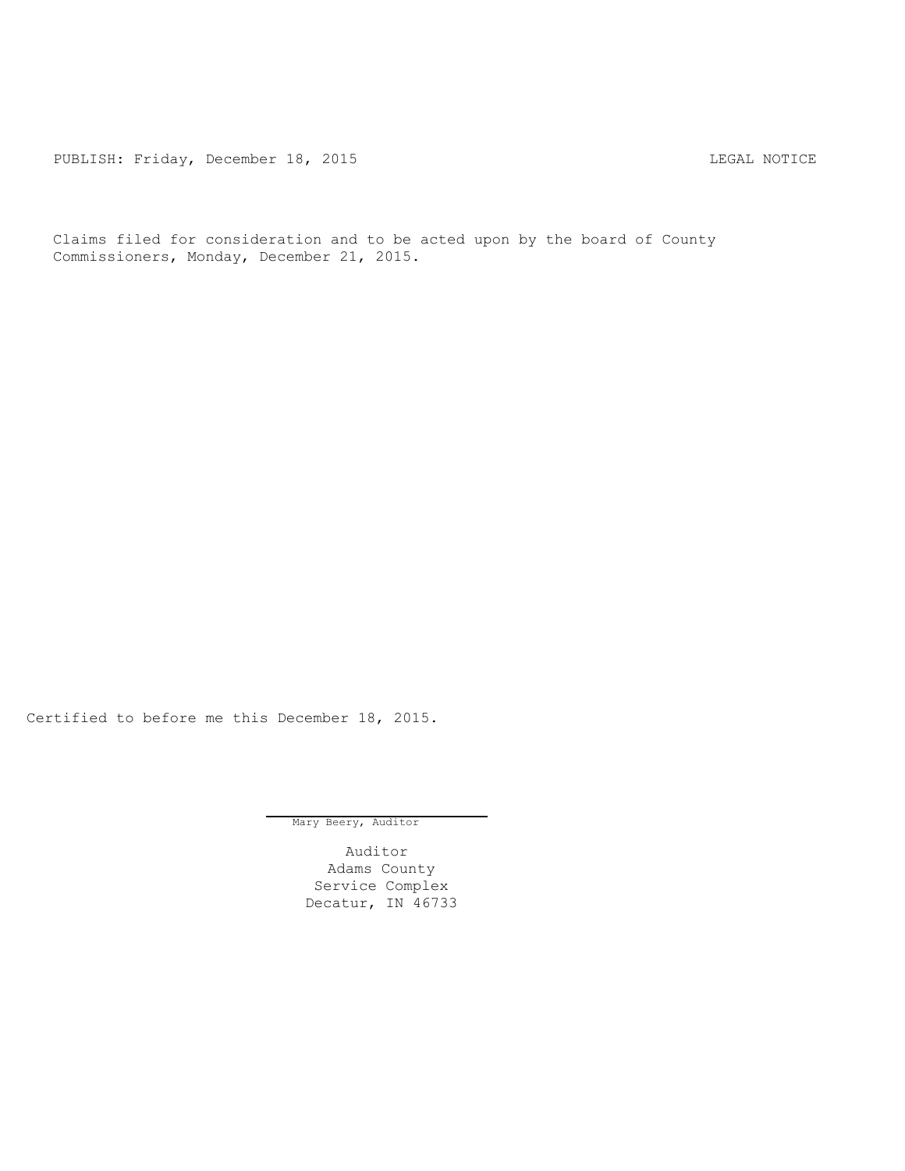PUBLISH: Friday, December 18, 2015 CHA CHANGE CONSTRUCTED MOTICE

Claims filed for consideration and to be acted upon by the board of County Commissioners, Monday, December 21, 2015.

Certified to before me this December 18, 2015.

Mary Beery, Auditor

Auditor Adams County Service Complex Decatur, IN 46733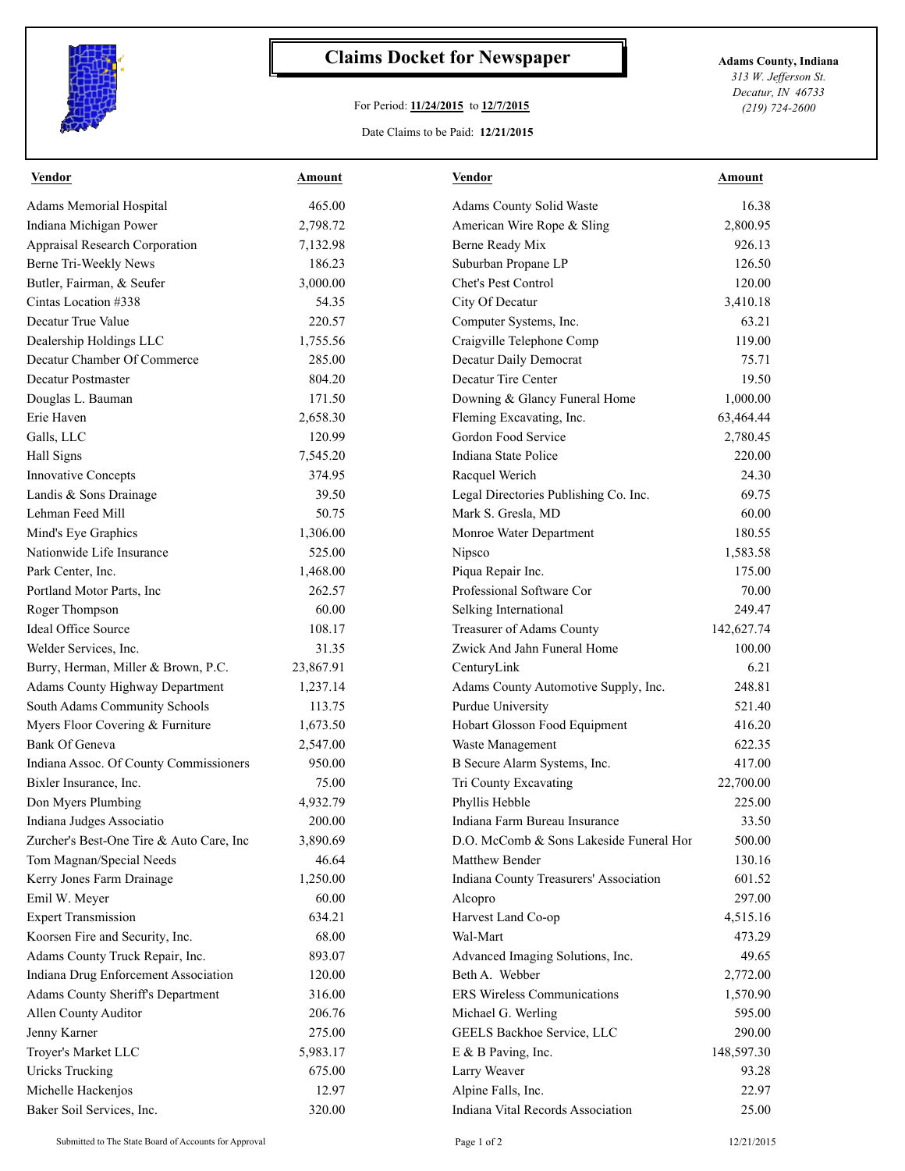

## **Claims Docket for Newspaper Adams County, Indiana**

## For Period: **11/24/2015** to **12/7/2015**

*313 W. Jefferson St. Decatur, IN 46733 (219) 724-2600*

Date Claims to be Paid: **12/21/2015**

| <b>Vendor</b>                            | Amount    | Vendor                                  | Amount     |
|------------------------------------------|-----------|-----------------------------------------|------------|
| Adams Memorial Hospital                  | 465.00    | Adams County Solid Waste                | 16.38      |
| Indiana Michigan Power                   | 2,798.72  | American Wire Rope & Sling              | 2,800.95   |
| <b>Appraisal Research Corporation</b>    | 7,132.98  | Berne Ready Mix                         | 926.13     |
| Berne Tri-Weekly News                    | 186.23    | Suburban Propane LP                     | 126.50     |
| Butler, Fairman, & Seufer                | 3,000.00  | Chet's Pest Control                     | 120.00     |
| Cintas Location #338                     | 54.35     | City Of Decatur                         | 3,410.18   |
| Decatur True Value                       | 220.57    | Computer Systems, Inc.                  | 63.21      |
| Dealership Holdings LLC                  | 1,755.56  | Craigville Telephone Comp               | 119.00     |
| Decatur Chamber Of Commerce              | 285.00    | Decatur Daily Democrat                  | 75.71      |
| Decatur Postmaster                       | 804.20    | Decatur Tire Center                     | 19.50      |
| Douglas L. Bauman                        | 171.50    | Downing & Glancy Funeral Home           | 1,000.00   |
| Erie Haven                               | 2,658.30  | Fleming Excavating, Inc.                | 63,464.44  |
| Galls, LLC                               | 120.99    | Gordon Food Service                     | 2,780.45   |
| Hall Signs                               | 7,545.20  | Indiana State Police                    | 220.00     |
| <b>Innovative Concepts</b>               | 374.95    | Racquel Werich                          | 24.30      |
| Landis & Sons Drainage                   | 39.50     | Legal Directories Publishing Co. Inc.   | 69.75      |
| Lehman Feed Mill                         | 50.75     | Mark S. Gresla, MD                      | 60.00      |
| Mind's Eye Graphics                      | 1,306.00  | Monroe Water Department                 | 180.55     |
| Nationwide Life Insurance                | 525.00    | Nipsco                                  | 1,583.58   |
| Park Center, Inc.                        | 1,468.00  | Piqua Repair Inc.                       | 175.00     |
| Portland Motor Parts, Inc                | 262.57    | Professional Software Cor               | 70.00      |
| Roger Thompson                           | 60.00     | Selking International                   | 249.47     |
| Ideal Office Source                      | 108.17    | Treasurer of Adams County               | 142,627.74 |
| Welder Services, Inc.                    | 31.35     | Zwick And Jahn Funeral Home             | 100.00     |
| Burry, Herman, Miller & Brown, P.C.      | 23,867.91 | CenturyLink                             | 6.21       |
| <b>Adams County Highway Department</b>   | 1,237.14  | Adams County Automotive Supply, Inc.    | 248.81     |
| South Adams Community Schools            | 113.75    | Purdue University                       | 521.40     |
| Myers Floor Covering & Furniture         | 1,673.50  | Hobart Glosson Food Equipment           | 416.20     |
| Bank Of Geneva                           | 2,547.00  | Waste Management                        | 622.35     |
| Indiana Assoc. Of County Commissioners   | 950.00    | B Secure Alarm Systems, Inc.            | 417.00     |
| Bixler Insurance, Inc.                   | 75.00     | Tri County Excavating                   | 22,700.00  |
| Don Myers Plumbing                       | 4,932.79  | Phyllis Hebble                          | 225.00     |
| Indiana Judges Associatio                | 200.00    | Indiana Farm Bureau Insurance           | 33.50      |
| Zurcher's Best-One Tire & Auto Care, Inc | 3,890.69  | D.O. McComb & Sons Lakeside Funeral Hor | 500.00     |
| Tom Magnan/Special Needs                 | 46.64     | Matthew Bender                          | 130.16     |
| Kerry Jones Farm Drainage                | 1,250.00  | Indiana County Treasurers' Association  | 601.52     |
| Emil W. Meyer                            | 60.00     | Alcopro                                 | 297.00     |
| <b>Expert Transmission</b>               | 634.21    | Harvest Land Co-op                      | 4,515.16   |
| Koorsen Fire and Security, Inc.          | 68.00     | Wal-Mart                                | 473.29     |
| Adams County Truck Repair, Inc.          | 893.07    | Advanced Imaging Solutions, Inc.        | 49.65      |
| Indiana Drug Enforcement Association     | 120.00    | Beth A. Webber                          | 2,772.00   |
| Adams County Sheriff's Department        | 316.00    | ERS Wireless Communications             | 1,570.90   |
| Allen County Auditor                     | 206.76    | Michael G. Werling                      | 595.00     |
| Jenny Karner                             | 275.00    | GEELS Backhoe Service, LLC              | 290.00     |
| Troyer's Market LLC                      | 5,983.17  | E & B Paving, Inc.                      | 148,597.30 |
| <b>Uricks Trucking</b>                   | 675.00    | Larry Weaver                            | 93.28      |
| Michelle Hackenjos                       | 12.97     | Alpine Falls, Inc.                      | 22.97      |
| Baker Soil Services, Inc.                | 320.00    | Indiana Vital Records Association       | 25.00      |